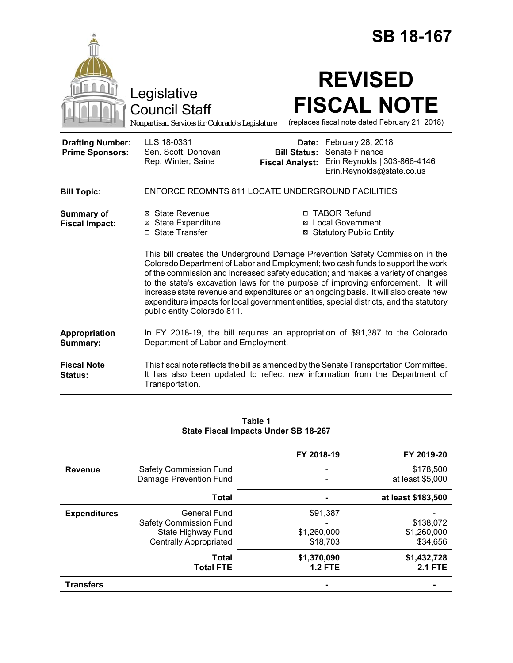|                                                   |                                                                                                                                                                                                                                                                                                                                                                                                                                                                                                                                                                                                                                                                                                            |                                                        | <b>SB 18-167</b>                                                                                                                                                    |
|---------------------------------------------------|------------------------------------------------------------------------------------------------------------------------------------------------------------------------------------------------------------------------------------------------------------------------------------------------------------------------------------------------------------------------------------------------------------------------------------------------------------------------------------------------------------------------------------------------------------------------------------------------------------------------------------------------------------------------------------------------------------|--------------------------------------------------------|---------------------------------------------------------------------------------------------------------------------------------------------------------------------|
|                                                   | Legislative<br><b>Council Staff</b><br>Nonpartisan Services for Colorado's Legislature                                                                                                                                                                                                                                                                                                                                                                                                                                                                                                                                                                                                                     |                                                        | <b>REVISED</b><br><b>FISCAL NOTE</b><br>(replaces fiscal note dated February 21, 2018)                                                                              |
| <b>Drafting Number:</b><br><b>Prime Sponsors:</b> | LLS 18-0331<br>Sen. Scott; Donovan<br>Rep. Winter; Saine                                                                                                                                                                                                                                                                                                                                                                                                                                                                                                                                                                                                                                                   | Date:<br><b>Bill Status:</b><br><b>Fiscal Analyst:</b> | February 28, 2018<br>Senate Finance<br>Erin Reynolds   303-866-4146<br>Erin.Reynolds@state.co.us                                                                    |
| <b>Bill Topic:</b>                                | ENFORCE REQMNTS 811 LOCATE UNDERGROUND FACILITIES                                                                                                                                                                                                                                                                                                                                                                                                                                                                                                                                                                                                                                                          |                                                        |                                                                                                                                                                     |
| <b>Summary of</b><br><b>Fiscal Impact:</b>        | □ TABOR Refund<br>⊠ State Revenue<br><b>⊠</b> State Expenditure<br>⊠ Local Government<br>□ State Transfer<br><b>⊠ Statutory Public Entity</b><br>This bill creates the Underground Damage Prevention Safety Commission in the<br>Colorado Department of Labor and Employment; two cash funds to support the work<br>of the commission and increased safety education; and makes a variety of changes<br>to the state's excavation laws for the purpose of improving enforcement. It will<br>increase state revenue and expenditures on an ongoing basis. It will also create new<br>expenditure impacts for local government entities, special districts, and the statutory<br>public entity Colorado 811. |                                                        |                                                                                                                                                                     |
| <b>Appropriation</b><br>Summary:                  | Department of Labor and Employment.                                                                                                                                                                                                                                                                                                                                                                                                                                                                                                                                                                                                                                                                        |                                                        | In FY 2018-19, the bill requires an appropriation of \$91,387 to the Colorado                                                                                       |
| <b>Fiscal Note</b><br>Status:                     | Transportation.                                                                                                                                                                                                                                                                                                                                                                                                                                                                                                                                                                                                                                                                                            |                                                        | This fiscal note reflects the bill as amended by the Senate Transportation Committee.<br>It has also been updated to reflect new information from the Department of |

| Table 1                              |  |
|--------------------------------------|--|
| State Fiscal Impacts Under SB 18-267 |  |

|                     |                               | FY 2018-19     | FY 2019-20         |
|---------------------|-------------------------------|----------------|--------------------|
| <b>Revenue</b>      | <b>Safety Commission Fund</b> |                | \$178,500          |
|                     | Damage Prevention Fund        |                | at least \$5,000   |
|                     | <b>Total</b>                  |                | at least \$183,500 |
| <b>Expenditures</b> | <b>General Fund</b>           | \$91,387       |                    |
|                     | <b>Safety Commission Fund</b> |                | \$138,072          |
|                     | State Highway Fund            | \$1,260,000    | \$1,260,000        |
|                     | <b>Centrally Appropriated</b> | \$18,703       | \$34,656           |
|                     | Total                         | \$1,370,090    | \$1,432,728        |
|                     | <b>Total FTE</b>              | <b>1.2 FTE</b> | <b>2.1 FTE</b>     |
| <b>Transfers</b>    |                               |                |                    |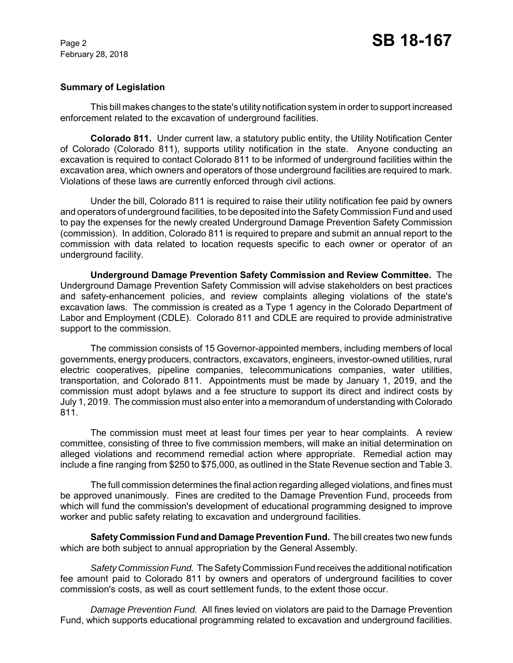## **Summary of Legislation**

This bill makes changes to the state's utility notification system in order to support increased enforcement related to the excavation of underground facilities.

**Colorado 811.** Under current law, a statutory public entity, the Utility Notification Center of Colorado (Colorado 811), supports utility notification in the state. Anyone conducting an excavation is required to contact Colorado 811 to be informed of underground facilities within the excavation area, which owners and operators of those underground facilities are required to mark. Violations of these laws are currently enforced through civil actions.

Under the bill, Colorado 811 is required to raise their utility notification fee paid by owners and operators of underground facilities, to be deposited into the Safety Commission Fund and used to pay the expenses for the newly created Underground Damage Prevention Safety Commission (commission). In addition, Colorado 811 is required to prepare and submit an annual report to the commission with data related to location requests specific to each owner or operator of an underground facility.

**Underground Damage Prevention Safety Commission and Review Committee.** The Underground Damage Prevention Safety Commission will advise stakeholders on best practices and safety-enhancement policies, and review complaints alleging violations of the state's excavation laws. The commission is created as a Type 1 agency in the Colorado Department of Labor and Employment (CDLE). Colorado 811 and CDLE are required to provide administrative support to the commission.

The commission consists of 15 Governor-appointed members, including members of local governments, energy producers, contractors, excavators, engineers, investor-owned utilities, rural electric cooperatives, pipeline companies, telecommunications companies, water utilities, transportation, and Colorado 811. Appointments must be made by January 1, 2019, and the commission must adopt bylaws and a fee structure to support its direct and indirect costs by July 1, 2019. The commission must also enter into a memorandum of understanding with Colorado 811.

The commission must meet at least four times per year to hear complaints. A review committee, consisting of three to five commission members, will make an initial determination on alleged violations and recommend remedial action where appropriate. Remedial action may include a fine ranging from \$250 to \$75,000, as outlined in the State Revenue section and Table 3.

The full commission determines the final action regarding alleged violations, and fines must be approved unanimously. Fines are credited to the Damage Prevention Fund, proceeds from which will fund the commission's development of educational programming designed to improve worker and public safety relating to excavation and underground facilities.

**Safety Commission Fund and Damage Prevention Fund.** The bill creates two new funds which are both subject to annual appropriation by the General Assembly.

*Safety Commission Fund.* The Safety Commission Fund receives the additional notification fee amount paid to Colorado 811 by owners and operators of underground facilities to cover commission's costs, as well as court settlement funds, to the extent those occur.

*Damage Prevention Fund.* All fines levied on violators are paid to the Damage Prevention Fund, which supports educational programming related to excavation and underground facilities.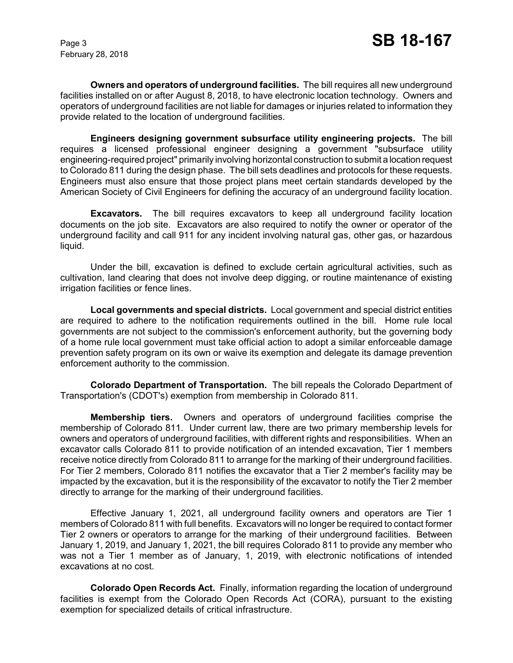**Owners and operators of underground facilities.** The bill requires all new underground facilities installed on or after August 8, 2018, to have electronic location technology. Owners and operators of underground facilities are not liable for damages or injuries related to information they provide related to the location of underground facilities.

**Engineers designing government subsurface utility engineering projects.** The bill requires a licensed professional engineer designing a government "subsurface utility engineering-required project" primarily involving horizontal construction to submit a location request to Colorado 811 during the design phase. The bill sets deadlines and protocols for these requests. Engineers must also ensure that those project plans meet certain standards developed by the American Society of Civil Engineers for defining the accuracy of an underground facility location.

**Excavators.** The bill requires excavators to keep all underground facility location documents on the job site. Excavators are also required to notify the owner or operator of the underground facility and call 911 for any incident involving natural gas, other gas, or hazardous liquid.

Under the bill, excavation is defined to exclude certain agricultural activities, such as cultivation, land clearing that does not involve deep digging, or routine maintenance of existing irrigation facilities or fence lines.

**Local governments and special districts.** Local government and special district entities are required to adhere to the notification requirements outlined in the bill. Home rule local governments are not subject to the commission's enforcement authority, but the governing body of a home rule local government must take official action to adopt a similar enforceable damage prevention safety program on its own or waive its exemption and delegate its damage prevention enforcement authority to the commission.

**Colorado Department of Transportation.** The bill repeals the Colorado Department of Transportation's (CDOT's) exemption from membership in Colorado 811.

**Membership tiers.** Owners and operators of underground facilities comprise the membership of Colorado 811. Under current law, there are two primary membership levels for owners and operators of underground facilities, with different rights and responsibilities. When an excavator calls Colorado 811 to provide notification of an intended excavation, Tier 1 members receive notice directly from Colorado 811 to arrange for the marking of their underground facilities. For Tier 2 members, Colorado 811 notifies the excavator that a Tier 2 member's facility may be impacted by the excavation, but it is the responsibility of the excavator to notify the Tier 2 member directly to arrange for the marking of their underground facilities.

Effective January 1, 2021, all underground facility owners and operators are Tier 1 members of Colorado 811 with full benefits. Excavators will no longer be required to contact former Tier 2 owners or operators to arrange for the marking of their underground facilities. Between January 1, 2019, and January 1, 2021, the bill requires Colorado 811 to provide any member who was not a Tier 1 member as of January, 1, 2019, with electronic notifications of intended excavations at no cost.

**Colorado Open Records Act.** Finally, information regarding the location of underground facilities is exempt from the Colorado Open Records Act (CORA), pursuant to the existing exemption for specialized details of critical infrastructure.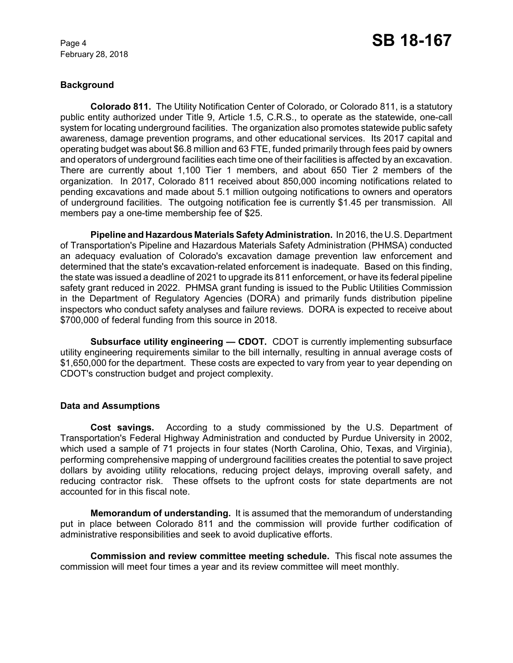# **Background**

**Colorado 811.** The Utility Notification Center of Colorado, or Colorado 811, is a statutory public entity authorized under Title 9, Article 1.5, C.R.S., to operate as the statewide, one-call system for locating underground facilities. The organization also promotes statewide public safety awareness, damage prevention programs, and other educational services. Its 2017 capital and operating budget was about \$6.8 million and 63 FTE, funded primarily through fees paid by owners and operators of underground facilities each time one of their facilities is affected by an excavation. There are currently about 1,100 Tier 1 members, and about 650 Tier 2 members of the organization. In 2017, Colorado 811 received about 850,000 incoming notifications related to pending excavations and made about 5.1 million outgoing notifications to owners and operators of underground facilities. The outgoing notification fee is currently \$1.45 per transmission. All members pay a one-time membership fee of \$25.

**Pipeline and Hazardous Materials Safety Administration.** In 2016, the U.S. Department of Transportation's Pipeline and Hazardous Materials Safety Administration (PHMSA) conducted an adequacy evaluation of Colorado's excavation damage prevention law enforcement and determined that the state's excavation-related enforcement is inadequate. Based on this finding, the state was issued a deadline of 2021 to upgrade its 811 enforcement, or have its federal pipeline safety grant reduced in 2022. PHMSA grant funding is issued to the Public Utilities Commission in the Department of Regulatory Agencies (DORA) and primarily funds distribution pipeline inspectors who conduct safety analyses and failure reviews. DORA is expected to receive about \$700,000 of federal funding from this source in 2018.

**Subsurface utility engineering — CDOT.** CDOT is currently implementing subsurface utility engineering requirements similar to the bill internally, resulting in annual average costs of \$1,650,000 for the department. These costs are expected to vary from year to year depending on CDOT's construction budget and project complexity.

## **Data and Assumptions**

**Cost savings.** According to a study commissioned by the U.S. Department of Transportation's Federal Highway Administration and conducted by Purdue University in 2002, which used a sample of 71 projects in four states (North Carolina, Ohio, Texas, and Virginia), performing comprehensive mapping of underground facilities creates the potential to save project dollars by avoiding utility relocations, reducing project delays, improving overall safety, and reducing contractor risk. These offsets to the upfront costs for state departments are not accounted for in this fiscal note.

**Memorandum of understanding.** It is assumed that the memorandum of understanding put in place between Colorado 811 and the commission will provide further codification of administrative responsibilities and seek to avoid duplicative efforts.

**Commission and review committee meeting schedule.** This fiscal note assumes the commission will meet four times a year and its review committee will meet monthly.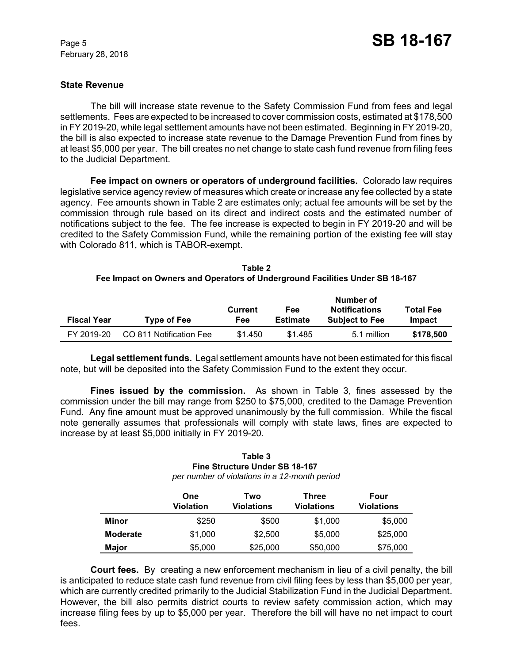## **State Revenue**

The bill will increase state revenue to the Safety Commission Fund from fees and legal settlements. Fees are expected to be increased to cover commission costs, estimated at \$178,500 in FY 2019-20, while legal settlement amounts have not been estimated. Beginning in FY 2019-20, the bill is also expected to increase state revenue to the Damage Prevention Fund from fines by at least \$5,000 per year. The bill creates no net change to state cash fund revenue from filing fees to the Judicial Department.

**Fee impact on owners or operators of underground facilities.** Colorado law requires legislative service agency review of measures which create or increase any fee collected by a state agency. Fee amounts shown in Table 2 are estimates only; actual fee amounts will be set by the commission through rule based on its direct and indirect costs and the estimated number of notifications subject to the fee. The fee increase is expected to begin in FY 2019-20 and will be credited to the Safety Commission Fund, while the remaining portion of the existing fee will stay with Colorado 811, which is TABOR-exempt.

| Table 2                                                                      |
|------------------------------------------------------------------------------|
| Fee Impact on Owners and Operators of Underground Facilities Under SB 18-167 |

| <b>Fiscal Year</b> | <b>Type of Fee</b>      | Fee<br><b>Current</b><br>Estimate<br>Fee |         | Number of<br><b>Notifications</b><br><b>Subject to Fee</b> | <b>Total Fee</b><br>Impact |
|--------------------|-------------------------|------------------------------------------|---------|------------------------------------------------------------|----------------------------|
|                    |                         |                                          |         |                                                            |                            |
| FY 2019-20         | CO 811 Notification Fee | \$1.450                                  | \$1.485 | 5.1 million                                                | \$178,500                  |

**Legal settlement funds.** Legal settlement amounts have not been estimated for this fiscal note, but will be deposited into the Safety Commission Fund to the extent they occur.

**Fines issued by the commission.** As shown in Table 3, fines assessed by the commission under the bill may range from \$250 to \$75,000, credited to the Damage Prevention Fund. Any fine amount must be approved unanimously by the full commission. While the fiscal note generally assumes that professionals will comply with state laws, fines are expected to increase by at least \$5,000 initially in FY 2019-20.

#### **Table 3 Fine Structure Under SB 18-167**  *per number of violations in a 12-month period*

|                 | One<br>Violation | Two<br><b>Violations</b> | Three<br>Violations | Four<br>Violations |
|-----------------|------------------|--------------------------|---------------------|--------------------|
| Minor           | \$250            | \$500                    | \$1,000             | \$5,000            |
| <b>Moderate</b> | \$1,000          | \$2,500                  | \$5,000             | \$25,000           |
| Major           | \$5,000          | \$25,000                 | \$50,000            | \$75,000           |

**Court fees.** By creating a new enforcement mechanism in lieu of a civil penalty, the bill is anticipated to reduce state cash fund revenue from civil filing fees by less than \$5,000 per year, which are currently credited primarily to the Judicial Stabilization Fund in the Judicial Department. However, the bill also permits district courts to review safety commission action, which may increase filing fees by up to \$5,000 per year. Therefore the bill will have no net impact to court fees.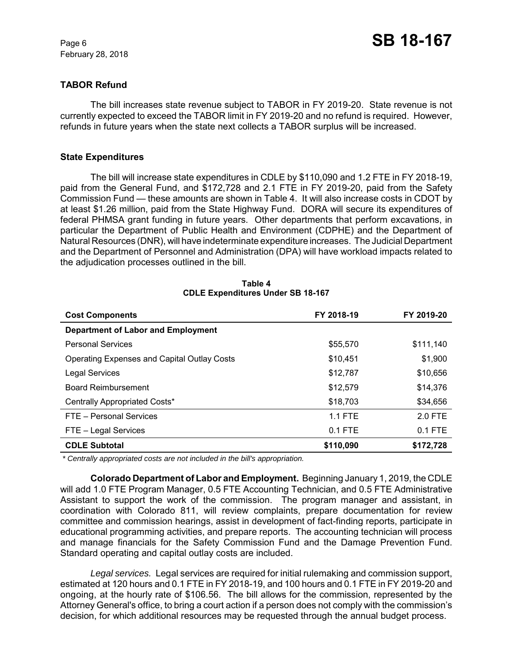## **TABOR Refund**

The bill increases state revenue subject to TABOR in FY 2019-20. State revenue is not currently expected to exceed the TABOR limit in FY 2019-20 and no refund is required. However, refunds in future years when the state next collects a TABOR surplus will be increased.

## **State Expenditures**

The bill will increase state expenditures in CDLE by \$110,090 and 1.2 FTE in FY 2018-19, paid from the General Fund, and \$172,728 and 2.1 FTE in FY 2019-20, paid from the Safety Commission Fund — these amounts are shown in Table 4. It will also increase costs in CDOT by at least \$1.26 million, paid from the State Highway Fund. DORA will secure its expenditures of federal PHMSA grant funding in future years. Other departments that perform excavations, in particular the Department of Public Health and Environment (CDPHE) and the Department of Natural Resources (DNR), will have indeterminate expenditure increases. The Judicial Department and the Department of Personnel and Administration (DPA) will have workload impacts related to the adjudication processes outlined in the bill.

| <b>Cost Components</b>                             | FY 2018-19 | FY 2019-20 |
|----------------------------------------------------|------------|------------|
| <b>Department of Labor and Employment</b>          |            |            |
| <b>Personal Services</b>                           | \$55,570   | \$111,140  |
| <b>Operating Expenses and Capital Outlay Costs</b> | \$10,451   | \$1,900    |
| <b>Legal Services</b>                              | \$12,787   | \$10,656   |
| <b>Board Reimbursement</b>                         | \$12,579   | \$14,376   |
| Centrally Appropriated Costs*                      | \$18,703   | \$34,656   |
| FTE - Personal Services                            | $1.1$ FTE  | $2.0$ FTE  |
| FTE - Legal Services                               | $0.1$ FTE  | $0.1$ FTE  |
| <b>CDLE Subtotal</b>                               | \$110,090  | \$172,728  |

### **Table 4 CDLE Expenditures Under SB 18-167**

 *\* Centrally appropriated costs are not included in the bill's appropriation.*

**Colorado Department of Labor and Employment.** Beginning January 1, 2019, the CDLE will add 1.0 FTE Program Manager, 0.5 FTE Accounting Technician, and 0.5 FTE Administrative Assistant to support the work of the commission. The program manager and assistant, in coordination with Colorado 811, will review complaints, prepare documentation for review committee and commission hearings, assist in development of fact-finding reports, participate in educational programming activities, and prepare reports. The accounting technician will process and manage financials for the Safety Commission Fund and the Damage Prevention Fund. Standard operating and capital outlay costs are included.

*Legal services.* Legal services are required for initial rulemaking and commission support, estimated at 120 hours and 0.1 FTE in FY 2018-19, and 100 hours and 0.1 FTE in FY 2019-20 and ongoing, at the hourly rate of \$106.56. The bill allows for the commission, represented by the Attorney General's office, to bring a court action if a person does not comply with the commission's decision, for which additional resources may be requested through the annual budget process.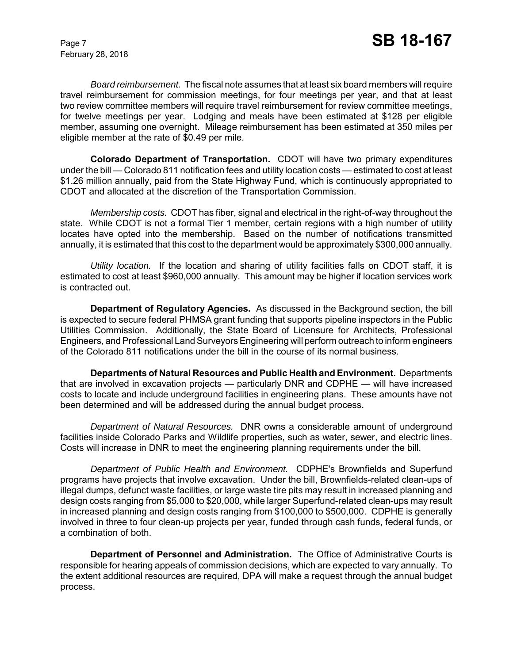*Board reimbursement.* The fiscal note assumes that at least six board members will require travel reimbursement for commission meetings, for four meetings per year, and that at least two review committee members will require travel reimbursement for review committee meetings, for twelve meetings per year. Lodging and meals have been estimated at \$128 per eligible member, assuming one overnight. Mileage reimbursement has been estimated at 350 miles per eligible member at the rate of \$0.49 per mile.

**Colorado Department of Transportation.** CDOT will have two primary expenditures under the bill — Colorado 811 notification fees and utility location costs — estimated to cost at least \$1.26 million annually, paid from the State Highway Fund, which is continuously appropriated to CDOT and allocated at the discretion of the Transportation Commission.

*Membership costs.* CDOT has fiber, signal and electrical in the right-of-way throughout the state. While CDOT is not a formal Tier 1 member, certain regions with a high number of utility locates have opted into the membership. Based on the number of notifications transmitted annually, it is estimated that this cost to the department would be approximately \$300,000 annually.

*Utility location.* If the location and sharing of utility facilities falls on CDOT staff, it is estimated to cost at least \$960,000 annually. This amount may be higher if location services work is contracted out.

**Department of Regulatory Agencies.** As discussed in the Background section, the bill is expected to secure federal PHMSA grant funding that supports pipeline inspectors in the Public Utilities Commission. Additionally, the State Board of Licensure for Architects, Professional Engineers, and Professional Land Surveyors Engineering will perform outreach to inform engineers of the Colorado 811 notifications under the bill in the course of its normal business.

**Departments of Natural Resources and Public Health and Environment.** Departments that are involved in excavation projects — particularly DNR and CDPHE — will have increased costs to locate and include underground facilities in engineering plans. These amounts have not been determined and will be addressed during the annual budget process.

*Department of Natural Resources.* DNR owns a considerable amount of underground facilities inside Colorado Parks and Wildlife properties, such as water, sewer, and electric lines. Costs will increase in DNR to meet the engineering planning requirements under the bill.

*Department of Public Health and Environment.* CDPHE's Brownfields and Superfund programs have projects that involve excavation. Under the bill, Brownfields-related clean-ups of illegal dumps, defunct waste facilities, or large waste tire pits may result in increased planning and design costs ranging from \$5,000 to \$20,000, while larger Superfund-related clean-ups may result in increased planning and design costs ranging from \$100,000 to \$500,000. CDPHE is generally involved in three to four clean-up projects per year, funded through cash funds, federal funds, or a combination of both.

**Department of Personnel and Administration.** The Office of Administrative Courts is responsible for hearing appeals of commission decisions, which are expected to vary annually. To the extent additional resources are required, DPA will make a request through the annual budget process.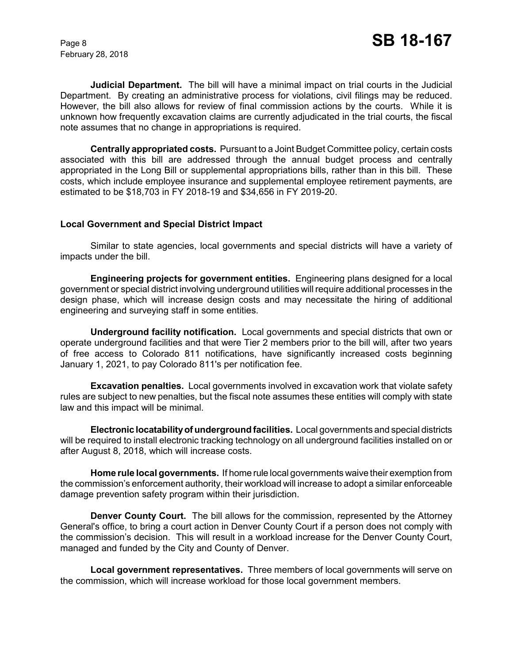**Judicial Department.** The bill will have a minimal impact on trial courts in the Judicial Department. By creating an administrative process for violations, civil filings may be reduced. However, the bill also allows for review of final commission actions by the courts. While it is unknown how frequently excavation claims are currently adjudicated in the trial courts, the fiscal note assumes that no change in appropriations is required.

**Centrally appropriated costs.** Pursuant to a Joint Budget Committee policy, certain costs associated with this bill are addressed through the annual budget process and centrally appropriated in the Long Bill or supplemental appropriations bills, rather than in this bill. These costs, which include employee insurance and supplemental employee retirement payments, are estimated to be \$18,703 in FY 2018-19 and \$34,656 in FY 2019-20.

## **Local Government and Special District Impact**

Similar to state agencies, local governments and special districts will have a variety of impacts under the bill.

**Engineering projects for government entities.** Engineering plans designed for a local government or special district involving underground utilities will require additional processes in the design phase, which will increase design costs and may necessitate the hiring of additional engineering and surveying staff in some entities.

**Underground facility notification.** Local governments and special districts that own or operate underground facilities and that were Tier 2 members prior to the bill will, after two years of free access to Colorado 811 notifications, have significantly increased costs beginning January 1, 2021, to pay Colorado 811's per notification fee.

**Excavation penalties.** Local governments involved in excavation work that violate safety rules are subject to new penalties, but the fiscal note assumes these entities will comply with state law and this impact will be minimal.

**Electronic locatability of underground facilities.** Local governments and special districts will be required to install electronic tracking technology on all underground facilities installed on or after August 8, 2018, which will increase costs.

**Home rule local governments.** If home rule local governments waive their exemption from the commission's enforcement authority, their workload will increase to adopt a similar enforceable damage prevention safety program within their jurisdiction.

**Denver County Court.** The bill allows for the commission, represented by the Attorney General's office, to bring a court action in Denver County Court if a person does not comply with the commission's decision. This will result in a workload increase for the Denver County Court, managed and funded by the City and County of Denver.

**Local government representatives.** Three members of local governments will serve on the commission, which will increase workload for those local government members.